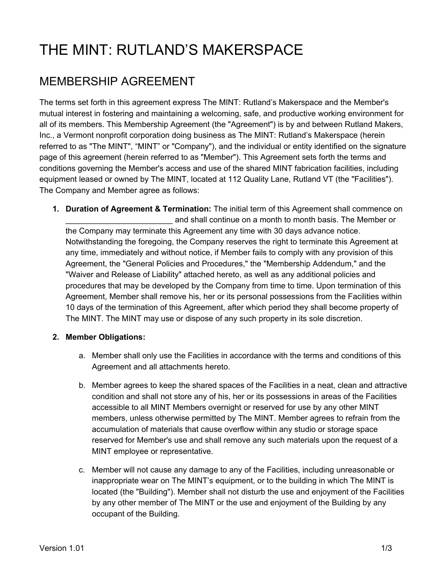## THE MINT: RUTLAND'S MAKERSPACE

## MEMBERSHIP AGREEMENT

The terms set forth in this agreement express The MINT: Rutland's Makerspace and the Member's mutual interest in fostering and maintaining a welcoming, safe, and productive working environment for all of its members. This Membership Agreement (the "Agreement") is by and between Rutland Makers, Inc., a Vermont nonprofit corporation doing business as The MINT: Rutland's Makerspace (herein referred to as "The MINT", "MINT" or "Company"), and the individual or entity identified on the signature page of this agreement (herein referred to as "Member"). This Agreement sets forth the terms and conditions governing the Member's access and use of the shared MINT fabrication facilities, including equipment leased or owned by The MINT, located at 112 Quality Lane, Rutland VT (the "Facilities"). The Company and Member agree as follows:

**1. Duration of Agreement & Termination:** The initial term of this Agreement shall commence on and shall continue on a month to month basis. The Member or the Company may terminate this Agreement any time with 30 days advance notice. Notwithstanding the foregoing, the Company reserves the right to terminate this Agreement at any time, immediately and without notice, if Member fails to comply with any provision of this Agreement, the "General Policies and Procedures," the "Membership Addendum," and the "Waiver and Release of Liability" attached hereto, as well as any additional policies and procedures that may be developed by the Company from time to time. Upon termination of this Agreement, Member shall remove his, her or its personal possessions from the Facilities within 10 days of the termination of this Agreement, after which period they shall become property of The MINT. The MINT may use or dispose of any such property in its sole discretion.

## **2. Member Obligations:**

- a. Member shall only use the Facilities in accordance with the terms and conditions of this Agreement and all attachments hereto.
- b. Member agrees to keep the shared spaces of the Facilities in a neat, clean and attractive condition and shall not store any of his, her or its possessions in areas of the Facilities accessible to all MINT Members overnight or reserved for use by any other MINT members, unless otherwise permitted by The MINT. Member agrees to refrain from the accumulation of materials that cause overflow within any studio or storage space reserved for Member's use and shall remove any such materials upon the request of a MINT employee or representative.
- c. Member will not cause any damage to any of the Facilities, including unreasonable or inappropriate wear on The MINT's equipment, or to the building in which The MINT is located (the "Building"). Member shall not disturb the use and enjoyment of the Facilities by any other member of The MINT or the use and enjoyment of the Building by any occupant of the Building.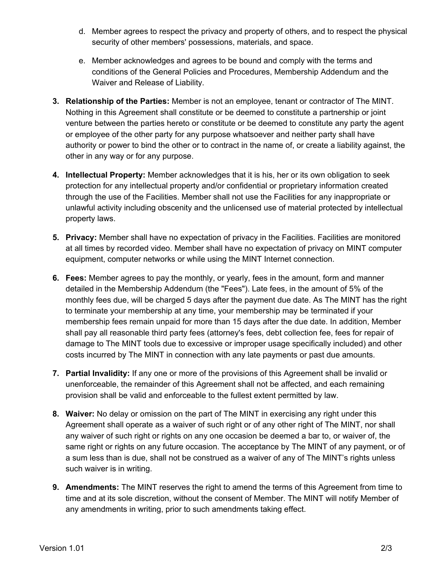- d. Member agrees to respect the privacy and property of others, and to respect the physical security of other members' possessions, materials, and space.
- e. Member acknowledges and agrees to be bound and comply with the terms and conditions of the General Policies and Procedures, Membership Addendum and the Waiver and Release of Liability.
- **3. Relationship of the Parties:** Member is not an employee, tenant or contractor of The MINT. Nothing in this Agreement shall constitute or be deemed to constitute a partnership or joint venture between the parties hereto or constitute or be deemed to constitute any party the agent or employee of the other party for any purpose whatsoever and neither party shall have authority or power to bind the other or to contract in the name of, or create a liability against, the other in any way or for any purpose.
- **4. Intellectual Property:** Member acknowledges that it is his, her or its own obligation to seek protection for any intellectual property and/or confidential or proprietary information created through the use of the Facilities. Member shall not use the Facilities for any inappropriate or unlawful activity including obscenity and the unlicensed use of material protected by intellectual property laws.
- **5. Privacy:** Member shall have no expectation of privacy in the Facilities. Facilities are monitored at all times by recorded video. Member shall have no expectation of privacy on MINT computer equipment, computer networks or while using the MINT Internet connection.
- **6. Fees:** Member agrees to pay the monthly, or yearly, fees in the amount, form and manner detailed in the Membership Addendum (the "Fees"). Late fees, in the amount of 5% of the monthly fees due, will be charged 5 days after the payment due date. As The MINT has the right to terminate your membership at any time, your membership may be terminated if your membership fees remain unpaid for more than 15 days after the due date. In addition, Member shall pay all reasonable third party fees (attorney's fees, debt collection fee, fees for repair of damage to The MINT tools due to excessive or improper usage specifically included) and other costs incurred by The MINT in connection with any late payments or past due amounts.
- **7. Partial Invalidity:** If any one or more of the provisions of this Agreement shall be invalid or unenforceable, the remainder of this Agreement shall not be affected, and each remaining provision shall be valid and enforceable to the fullest extent permitted by law.
- **8. Waiver:** No delay or omission on the part of The MINT in exercising any right under this Agreement shall operate as a waiver of such right or of any other right of The MINT, nor shall any waiver of such right or rights on any one occasion be deemed a bar to, or waiver of, the same right or rights on any future occasion. The acceptance by The MINT of any payment, or of a sum less than is due, shall not be construed as a waiver of any of The MINT's rights unless such waiver is in writing.
- **9. Amendments:** The MINT reserves the right to amend the terms of this Agreement from time to time and at its sole discretion, without the consent of Member. The MINT will notify Member of any amendments in writing, prior to such amendments taking effect.